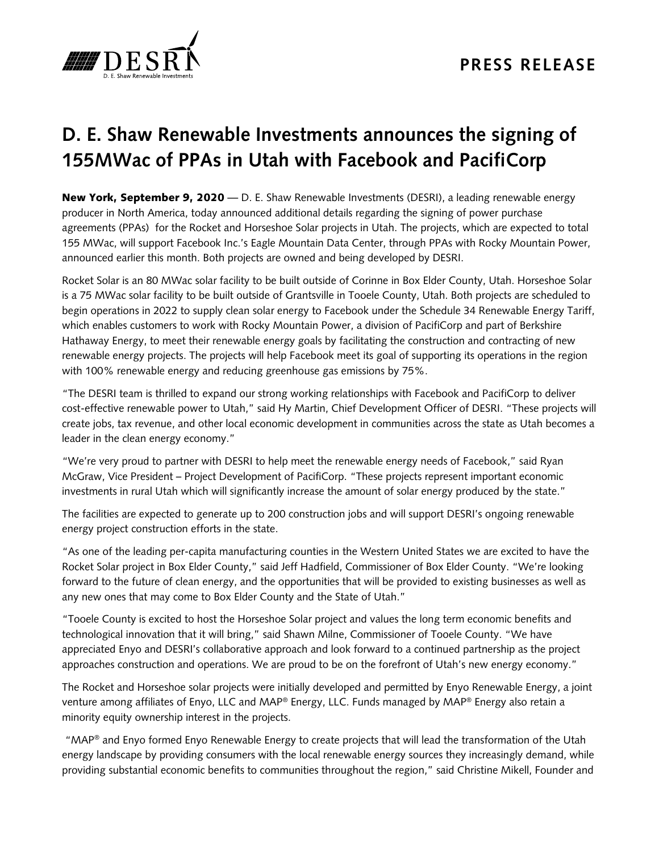

## **D. E. Shaw Renewable Investments announces the signing of 155MWac of PPAs in Utah with Facebook and PacifiCorp**

New York, September 9, 2020 — D. E. Shaw Renewable Investments (DESRI), a leading renewable energy producer in North America, today announced additional details regarding the signing of power purchase agreements (PPAs) for the Rocket and Horseshoe Solar projects in Utah. The projects, which are expected to total 155 MWac, will support Facebook Inc.'s Eagle Mountain Data Center, through PPAs with Rocky Mountain Power, announced earlier this month. Both projects are owned and being developed by DESRI.

Rocket Solar is an 80 MWac solar facility to be built outside of Corinne in Box Elder County, Utah. Horseshoe Solar is a 75 MWac solar facility to be built outside of Grantsville in Tooele County, Utah. Both projects are scheduled to begin operations in 2022 to supply clean solar energy to Facebook under the Schedule 34 Renewable Energy Tariff, which enables customers to work with Rocky Mountain Power, a division of PacifiCorp and part of Berkshire Hathaway Energy, to meet their renewable energy goals by facilitating the construction and contracting of new renewable energy projects. The projects will help Facebook meet its goal of supporting its operations in the region with 100% renewable energy and reducing greenhouse gas emissions by 75%.

"The DESRI team is thrilled to expand our strong working relationships with Facebook and PacifiCorp to deliver cost-effective renewable power to Utah," said Hy Martin, Chief Development Officer of DESRI. "These projects will create jobs, tax revenue, and other local economic development in communities across the state as Utah becomes a leader in the clean energy economy."

"We're very proud to partner with DESRI to help meet the renewable energy needs of Facebook," said Ryan McGraw, Vice President – Project Development of PacifiCorp. "These projects represent important economic investments in rural Utah which will significantly increase the amount of solar energy produced by the state."

The facilities are expected to generate up to 200 construction jobs and will support DESRI's ongoing renewable energy project construction efforts in the state.

"As one of the leading per-capita manufacturing counties in the Western United States we are excited to have the Rocket Solar project in Box Elder County," said Jeff Hadfield, Commissioner of Box Elder County. "We're looking forward to the future of clean energy, and the opportunities that will be provided to existing businesses as well as any new ones that may come to Box Elder County and the State of Utah."

"Tooele County is excited to host the Horseshoe Solar project and values the long term economic benefits and technological innovation that it will bring," said Shawn Milne, Commissioner of Tooele County. "We have appreciated Enyo and DESRI's collaborative approach and look forward to a continued partnership as the project approaches construction and operations. We are proud to be on the forefront of Utah's new energy economy."

The Rocket and Horseshoe solar projects were initially developed and permitted by Enyo Renewable Energy, a joint venture among affiliates of Enyo, LLC and MAP® Energy, LLC. Funds managed by MAP® Energy also retain a minority equity ownership interest in the projects.

"MAP® and Enyo formed Enyo Renewable Energy to create projects that will lead the transformation of the Utah energy landscape by providing consumers with the local renewable energy sources they increasingly demand, while providing substantial economic benefits to communities throughout the region," said Christine Mikell, Founder and